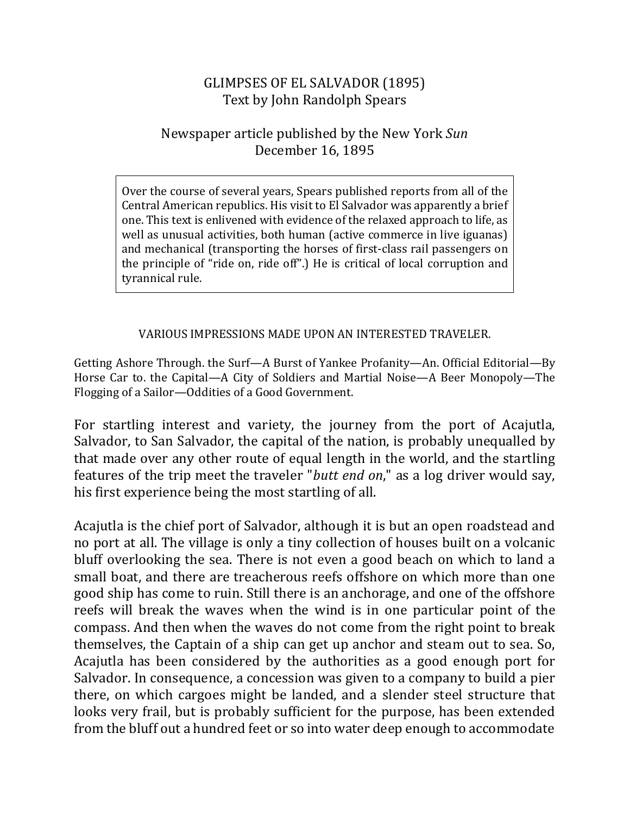## GLIMPSES OF EL SALVADOR (1895) Text by John Randolph Spears

## Newspaper article published by the New York *Sun* December 16, 1895

Over the course of several years, Spears published reports from all of the Central American republics. His visit to El Salvador was apparently a brief one. This text is enlivened with evidence of the relaxed approach to life, as well as unusual activities, both human (active commerce in live iguanas) and mechanical (transporting the horses of first-class rail passengers on the principle of "ride on, ride off".) He is critical of local corruption and tyrannical rule.

## VARIOUS IMPRESSIONS MADE UPON AN INTERESTED TRAVELER.

Getting Ashore Through. the Surf—A Burst of Yankee Profanity—An. Official Editorial—By Horse Car to. the Capital—A City of Soldiers and Martial Noise—A Beer Monopoly—The Flogging of a Sailor-Oddities of a Good Government.

For startling interest and variety, the journey from the port of Acajutla, Salvador, to San Salvador, the capital of the nation, is probably unequalled by that made over any other route of equal length in the world, and the startling features of the trip meet the traveler "*butt end on*," as a log driver would say, his first experience being the most startling of all.

Acajutla is the chief port of Salvador, although it is but an open roadstead and no port at all. The village is only a tiny collection of houses built on a volcanic bluff overlooking the sea. There is not even a good beach on which to land a small boat, and there are treacherous reefs offshore on which more than one good ship has come to ruin. Still there is an anchorage, and one of the offshore reefs will break the waves when the wind is in one particular point of the compass. And then when the waves do not come from the right point to break themselves, the Captain of a ship can get up anchor and steam out to sea. So, Acajutla has been considered by the authorities as a good enough port for Salvador. In consequence, a concession was given to a company to build a pier there, on which cargoes might be landed, and a slender steel structure that looks very frail, but is probably sufficient for the purpose, has been extended from the bluff out a hundred feet or so into water deep enough to accommodate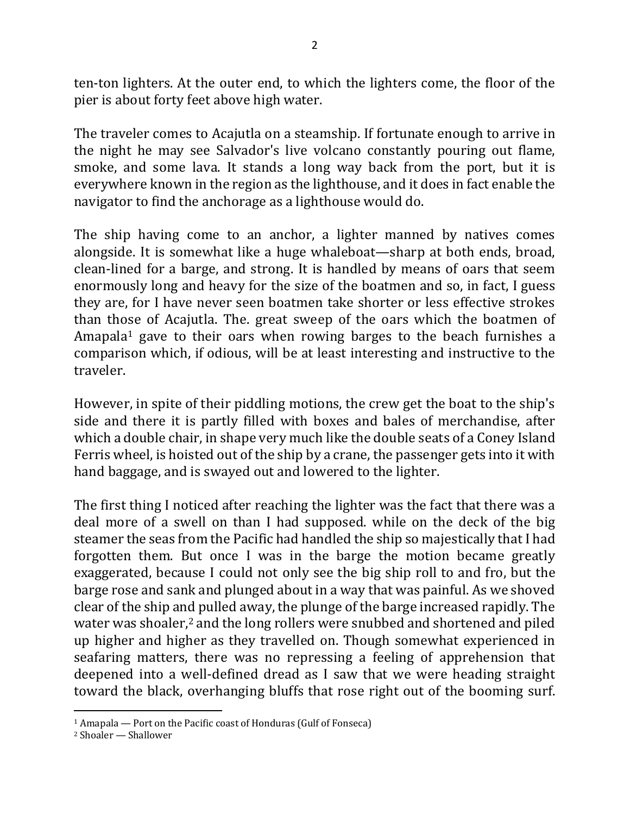ten-ton lighters. At the outer end, to which the lighters come, the floor of the pier is about forty feet above high water.

The traveler comes to Acajutla on a steamship. If fortunate enough to arrive in the night he may see Salvador's live volcano constantly pouring out flame, smoke, and some lava. It stands a long way back from the port, but it is everywhere known in the region as the lighthouse, and it does in fact enable the navigator to find the anchorage as a lighthouse would do.

The ship having come to an anchor, a lighter manned by natives comes alongside. It is somewhat like a huge whaleboat—sharp at both ends, broad, clean-lined for a barge, and strong. It is handled by means of oars that seem enormously long and heavy for the size of the boatmen and so, in fact, I guess they are, for I have never seen boatmen take shorter or less effective strokes than those of Acajutla. The. great sweep of the oars which the boatmen of Amapala<sup>1</sup> gave to their oars when rowing barges to the beach furnishes a comparison which, if odious, will be at least interesting and instructive to the traveler.

However, in spite of their piddling motions, the crew get the boat to the ship's side and there it is partly filled with boxes and bales of merchandise, after which a double chair, in shape very much like the double seats of a Coney Island Ferris wheel, is hoisted out of the ship by a crane, the passenger gets into it with hand baggage, and is swayed out and lowered to the lighter.

The first thing I noticed after reaching the lighter was the fact that there was a deal more of a swell on than I had supposed. while on the deck of the big steamer the seas from the Pacific had handled the ship so majestically that I had forgotten them. But once I was in the barge the motion became greatly exaggerated, because I could not only see the big ship roll to and fro, but the barge rose and sank and plunged about in a way that was painful. As we shoved clear of the ship and pulled away, the plunge of the barge increased rapidly. The water was shoaler, $2$  and the long rollers were snubbed and shortened and piled up higher and higher as they travelled on. Though somewhat experienced in seafaring matters, there was no repressing a feeling of apprehension that deepened into a well-defined dread as I saw that we were heading straight toward the black, overhanging bluffs that rose right out of the booming surf.

 $\overline{a}$ 

 $1$  Amapala — Port on the Pacific coast of Honduras (Gulf of Fonseca)

<sup>&</sup>lt;sup>2</sup> Shoaler — Shallower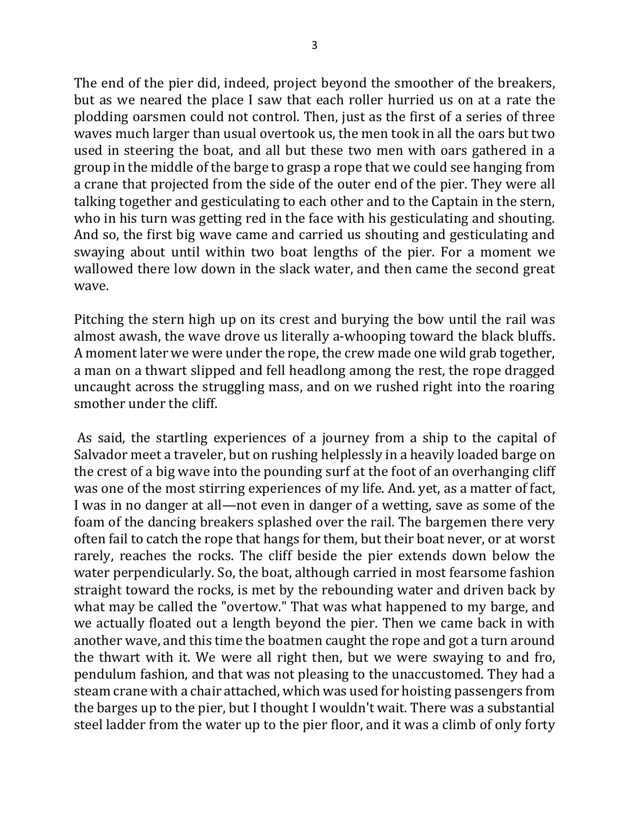The end of the pier did, indeed, project beyond the smoother of the breakers, but as we neared the place I saw that each roller hurried us on at a rate the plodding oarsmen could not control. Then, just as the first of a series of three waves much larger than usual overtook us, the men took in all the oars but two used in steering the boat, and all but these two men with oars gathered in a group in the middle of the barge to grasp a rope that we could see hanging from a crane that projected from the side of the outer end of the pier. They were all talking together and gesticulating to each other and to the Captain in the stern, who in his turn was getting red in the face with his gesticulating and shouting. And so, the first big wave came and carried us shouting and gesticulating and swaying about until within two boat lengths of the pier. For a moment we wallowed there low down in the slack water, and then came the second great wave.

Pitching the stern high up on its crest and burying the bow until the rail was almost awash, the wave drove us literally a-whooping toward the black bluffs. A moment later we were under the rope, the crew made one wild grab together, a man on a thwart slipped and fell headlong among the rest, the rope dragged uncaught across the struggling mass, and on we rushed right into the roaring smother under the cliff.

As said, the startling experiences of a journey from a ship to the capital of Salvador meet a traveler, but on rushing helplessly in a heavily loaded barge on the crest of a big wave into the pounding surf at the foot of an overhanging cliff was one of the most stirring experiences of my life. And. yet, as a matter of fact, I was in no danger at all—not even in danger of a wetting, save as some of the foam of the dancing breakers splashed over the rail. The bargemen there very often fail to catch the rope that hangs for them, but their boat never, or at worst rarely, reaches the rocks. The cliff beside the pier extends down below the water perpendicularly. So, the boat, although carried in most fearsome fashion straight toward the rocks, is met by the rebounding water and driven back by what may be called the "overtow." That was what happened to my barge, and we actually floated out a length beyond the pier. Then we came back in with another wave, and this time the boatmen caught the rope and got a turn around the thwart with it. We were all right then, but we were swaying to and fro, pendulum fashion, and that was not pleasing to the unaccustomed. They had a steam crane with a chair attached, which was used for hoisting passengers from the barges up to the pier, but I thought I wouldn't wait. There was a substantial steel ladder from the water up to the pier floor, and it was a climb of only forty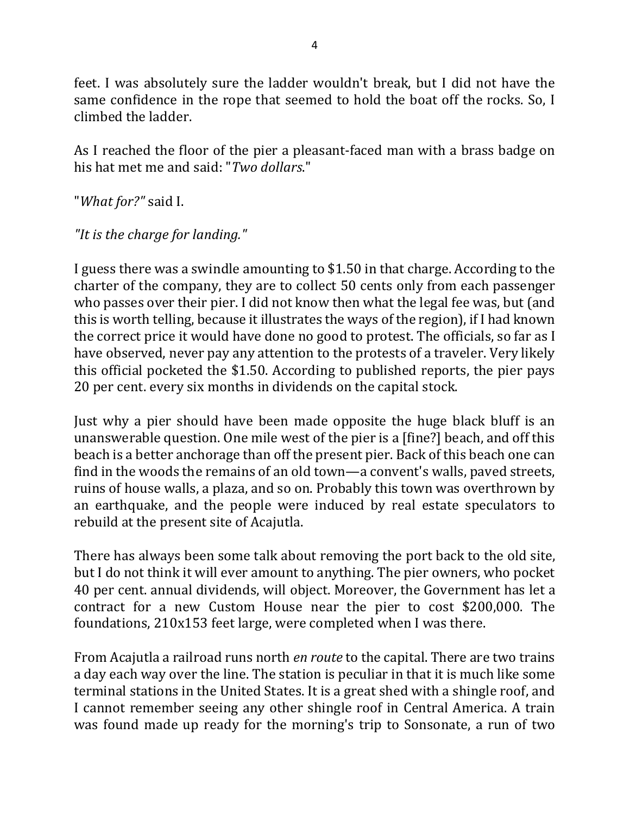feet. I was absolutely sure the ladder wouldn't break, but I did not have the same confidence in the rope that seemed to hold the boat off the rocks. So, I climbed the ladder.

As I reached the floor of the pier a pleasant-faced man with a brass badge on his hat met me and said: "*Two dollars*."

"What for?" said I.

"It is the charge for landing."

I guess there was a swindle amounting to \$1.50 in that charge. According to the charter of the company, they are to collect 50 cents only from each passenger who passes over their pier. I did not know then what the legal fee was, but (and this is worth telling, because it illustrates the ways of the region), if I had known the correct price it would have done no good to protest. The officials, so far as I have observed, never pay any attention to the protests of a traveler. Very likely this official pocketed the \$1.50. According to published reports, the pier pays 20 per cent. every six months in dividends on the capital stock.

Just why a pier should have been made opposite the huge black bluff is an unanswerable question. One mile west of the pier is a [fine?] beach, and off this beach is a better anchorage than off the present pier. Back of this beach one can find in the woods the remains of an old town—a convent's walls, paved streets, ruins of house walls, a plaza, and so on. Probably this town was overthrown by an earthquake, and the people were induced by real estate speculators to rebuild at the present site of Acajutla.

There has always been some talk about removing the port back to the old site, but I do not think it will ever amount to anything. The pier owners, who pocket 40 per cent. annual dividends, will object. Moreover, the Government has let a contract for a new Custom House near the pier to cost \$200,000. The foundations,  $210x153$  feet large, were completed when I was there.

From Acajutla a railroad runs north *en route* to the capital. There are two trains a day each way over the line. The station is peculiar in that it is much like some terminal stations in the United States. It is a great shed with a shingle roof, and I cannot remember seeing any other shingle roof in Central America. A train was found made up ready for the morning's trip to Sonsonate, a run of two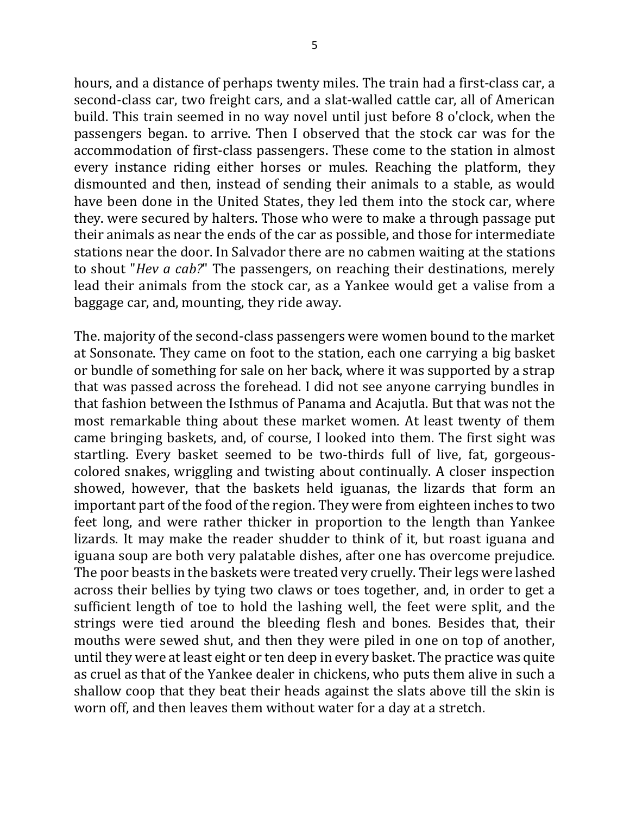hours, and a distance of perhaps twenty miles. The train had a first-class car, a second-class car, two freight cars, and a slat-walled cattle car, all of American build. This train seemed in no way novel until just before 8 o'clock, when the passengers began. to arrive. Then I observed that the stock car was for the accommodation of first-class passengers. These come to the station in almost every instance riding either horses or mules. Reaching the platform, they dismounted and then, instead of sending their animals to a stable, as would have been done in the United States, they led them into the stock car, where they. were secured by halters. Those who were to make a through passage put their animals as near the ends of the car as possible, and those for intermediate stations near the door. In Salvador there are no cabmen waiting at the stations to shout "*Hev a cab?*" The passengers, on reaching their destinations, merely lead their animals from the stock car, as a Yankee would get a valise from a baggage car, and, mounting, they ride away.

The. majority of the second-class passengers were women bound to the market at Sonsonate. They came on foot to the station, each one carrying a big basket or bundle of something for sale on her back, where it was supported by a strap that was passed across the forehead. I did not see anyone carrying bundles in that fashion between the Isthmus of Panama and Acajutla. But that was not the most remarkable thing about these market women. At least twenty of them came bringing baskets, and, of course, I looked into them. The first sight was startling. Every basket seemed to be two-thirds full of live, fat, gorgeouscolored snakes, wriggling and twisting about continually. A closer inspection showed, however, that the baskets held iguanas, the lizards that form an important part of the food of the region. They were from eighteen inches to two feet long, and were rather thicker in proportion to the length than Yankee lizards. It may make the reader shudder to think of it, but roast iguana and iguana soup are both very palatable dishes, after one has overcome prejudice. The poor beasts in the baskets were treated very cruelly. Their legs were lashed across their bellies by tying two claws or toes together, and, in order to get a sufficient length of toe to hold the lashing well, the feet were split, and the strings were tied around the bleeding flesh and bones. Besides that, their mouths were sewed shut, and then they were piled in one on top of another, until they were at least eight or ten deep in every basket. The practice was quite as cruel as that of the Yankee dealer in chickens, who puts them alive in such a shallow coop that they beat their heads against the slats above till the skin is worn off, and then leaves them without water for a day at a stretch.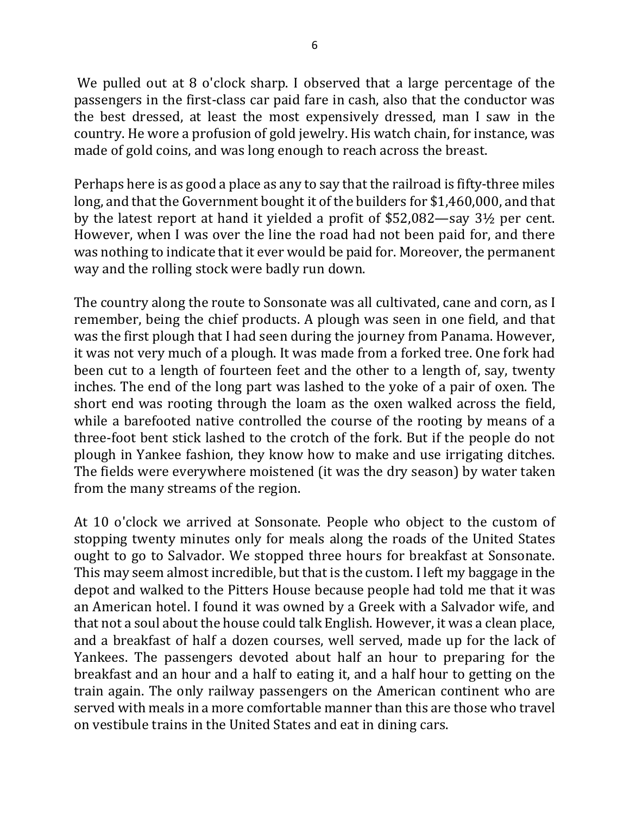We pulled out at  $8$  o'clock sharp. I observed that a large percentage of the passengers in the first-class car paid fare in cash, also that the conductor was the best dressed, at least the most expensively dressed, man I saw in the country. He wore a profusion of gold jewelry. His watch chain, for instance, was made of gold coins, and was long enough to reach across the breast.

Perhaps here is as good a place as any to say that the railroad is fifty-three miles long, and that the Government bought it of the builders for \$1,460,000, and that by the latest report at hand it yielded a profit of  $$52,082$ —say  $3\frac{1}{2}$  per cent. However, when I was over the line the road had not been paid for, and there was nothing to indicate that it ever would be paid for. Moreover, the permanent way and the rolling stock were badly run down.

The country along the route to Sonsonate was all cultivated, cane and corn, as I remember, being the chief products. A plough was seen in one field, and that was the first plough that I had seen during the journey from Panama. However, it was not very much of a plough. It was made from a forked tree. One fork had been cut to a length of fourteen feet and the other to a length of, say, twenty inches. The end of the long part was lashed to the yoke of a pair of oxen. The short end was rooting through the loam as the oxen walked across the field, while a barefooted native controlled the course of the rooting by means of a three-foot bent stick lashed to the crotch of the fork. But if the people do not plough in Yankee fashion, they know how to make and use irrigating ditches. The fields were everywhere moistened (it was the dry season) by water taken from the many streams of the region.

At 10 o'clock we arrived at Sonsonate. People who object to the custom of stopping twenty minutes only for meals along the roads of the United States ought to go to Salvador. We stopped three hours for breakfast at Sonsonate. This may seem almost incredible, but that is the custom. I left my baggage in the depot and walked to the Pitters House because people had told me that it was an American hotel. I found it was owned by a Greek with a Salvador wife, and that not a soul about the house could talk English. However, it was a clean place, and a breakfast of half a dozen courses, well served, made up for the lack of Yankees. The passengers devoted about half an hour to preparing for the breakfast and an hour and a half to eating it, and a half hour to getting on the train again. The only railway passengers on the American continent who are served with meals in a more comfortable manner than this are those who travel on vestibule trains in the United States and eat in dining cars.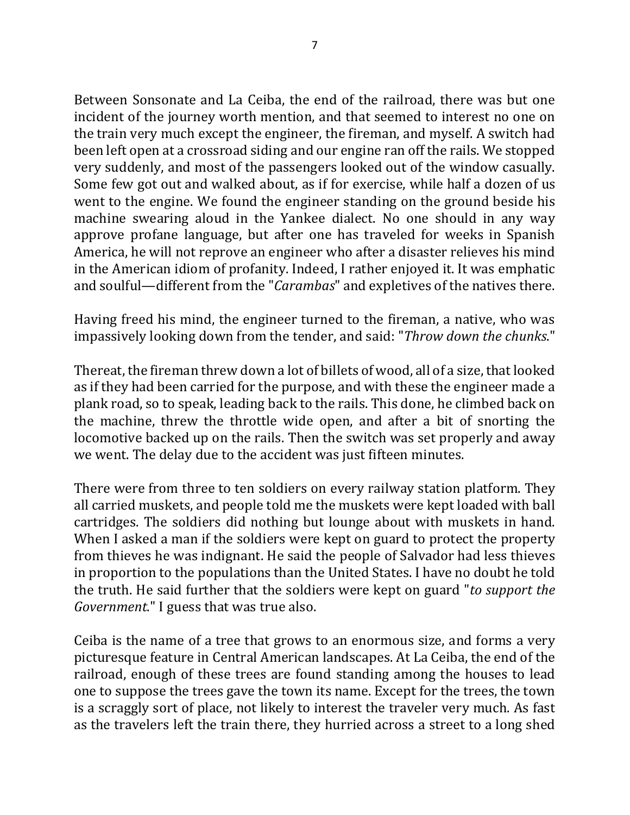Between Sonsonate and La Ceiba, the end of the railroad, there was but one incident of the journey worth mention, and that seemed to interest no one on the train very much except the engineer, the fireman, and myself. A switch had been left open at a crossroad siding and our engine ran off the rails. We stopped very suddenly, and most of the passengers looked out of the window casually. Some few got out and walked about, as if for exercise, while half a dozen of us went to the engine. We found the engineer standing on the ground beside his machine swearing aloud in the Yankee dialect. No one should in any way approve profane language, but after one has traveled for weeks in Spanish America, he will not reprove an engineer who after a disaster relieves his mind in the American idiom of profanity. Indeed, I rather enjoyed it. It was emphatic and soulful—different from the "*Carambas*" and expletives of the natives there.

Having freed his mind, the engineer turned to the fireman, a native, who was impassively looking down from the tender, and said: "Throw down the chunks."

Thereat, the fireman threw down a lot of billets of wood, all of a size, that looked as if they had been carried for the purpose, and with these the engineer made a plank road, so to speak, leading back to the rails. This done, he climbed back on the machine, threw the throttle wide open, and after a bit of snorting the locomotive backed up on the rails. Then the switch was set properly and away we went. The delay due to the accident was just fifteen minutes.

There were from three to ten soldiers on every railway station platform. They all carried muskets, and people told me the muskets were kept loaded with ball cartridges. The soldiers did nothing but lounge about with muskets in hand. When I asked a man if the soldiers were kept on guard to protect the property from thieves he was indignant. He said the people of Salvador had less thieves in proportion to the populations than the United States. I have no doubt he told the truth. He said further that the soldiers were kept on guard "*to support the Government.*" I guess that was true also.

Ceiba is the name of a tree that grows to an enormous size, and forms a very picturesque feature in Central American landscapes. At La Ceiba, the end of the railroad, enough of these trees are found standing among the houses to lead one to suppose the trees gave the town its name. Except for the trees, the town is a scraggly sort of place, not likely to interest the traveler very much. As fast as the travelers left the train there, they hurried across a street to a long shed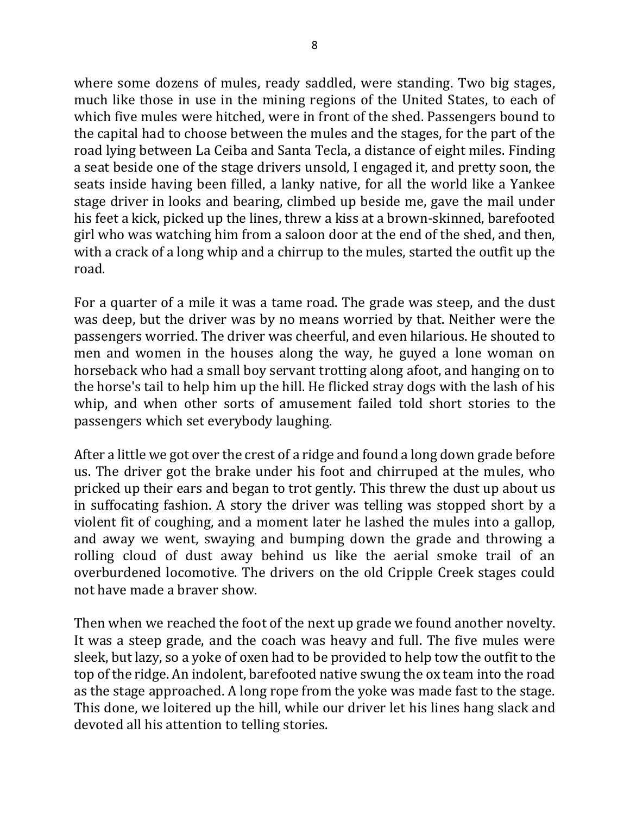where some dozens of mules, ready saddled, were standing. Two big stages, much like those in use in the mining regions of the United States, to each of which five mules were hitched, were in front of the shed. Passengers bound to the capital had to choose between the mules and the stages, for the part of the road lying between La Ceiba and Santa Tecla, a distance of eight miles. Finding a seat beside one of the stage drivers unsold, I engaged it, and pretty soon, the seats inside having been filled, a lanky native, for all the world like a Yankee stage driver in looks and bearing, climbed up beside me, gave the mail under his feet a kick, picked up the lines, threw a kiss at a brown-skinned, barefooted girl who was watching him from a saloon door at the end of the shed, and then, with a crack of a long whip and a chirrup to the mules, started the outfit up the road.

For a quarter of a mile it was a tame road. The grade was steep, and the dust was deep, but the driver was by no means worried by that. Neither were the passengers worried. The driver was cheerful, and even hilarious. He shouted to men and women in the houses along the way, he guyed a lone woman on horseback who had a small boy servant trotting along afoot, and hanging on to the horse's tail to help him up the hill. He flicked stray dogs with the lash of his whip, and when other sorts of amusement failed told short stories to the passengers which set everybody laughing.

After a little we got over the crest of a ridge and found a long down grade before us. The driver got the brake under his foot and chirruped at the mules, who pricked up their ears and began to trot gently. This threw the dust up about us in suffocating fashion. A story the driver was telling was stopped short by a violent fit of coughing, and a moment later he lashed the mules into a gallop, and away we went, swaying and bumping down the grade and throwing a rolling cloud of dust away behind us like the aerial smoke trail of an overburdened locomotive. The drivers on the old Cripple Creek stages could not have made a braver show.

Then when we reached the foot of the next up grade we found another novelty. It was a steep grade, and the coach was heavy and full. The five mules were sleek, but lazy, so a yoke of oxen had to be provided to help tow the outfit to the top of the ridge. An indolent, barefooted native swung the ox team into the road as the stage approached. A long rope from the yoke was made fast to the stage. This done, we loitered up the hill, while our driver let his lines hang slack and devoted all his attention to telling stories.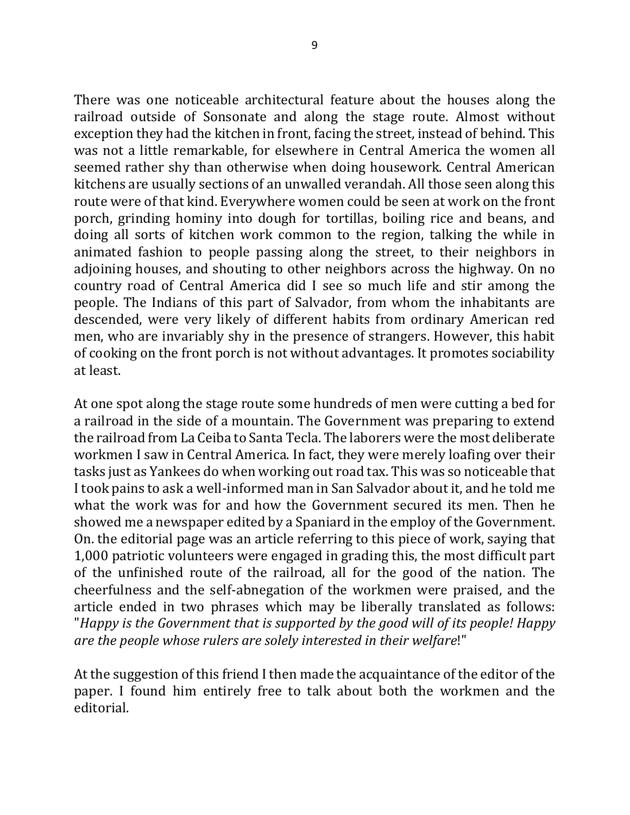There was one noticeable architectural feature about the houses along the railroad outside of Sonsonate and along the stage route. Almost without exception they had the kitchen in front, facing the street, instead of behind. This was not a little remarkable, for elsewhere in Central America the women all seemed rather shy than otherwise when doing housework. Central American kitchens are usually sections of an unwalled verandah. All those seen along this route were of that kind. Everywhere women could be seen at work on the front porch, grinding hominy into dough for tortillas, boiling rice and beans, and doing all sorts of kitchen work common to the region, talking the while in animated fashion to people passing along the street, to their neighbors in adjoining houses, and shouting to other neighbors across the highway. On no country road of Central America did I see so much life and stir among the people. The Indians of this part of Salvador, from whom the inhabitants are descended, were very likely of different habits from ordinary American red men, who are invariably shy in the presence of strangers. However, this habit of cooking on the front porch is not without advantages. It promotes sociability at least.

At one spot along the stage route some hundreds of men were cutting a bed for a railroad in the side of a mountain. The Government was preparing to extend the railroad from La Ceiba to Santa Tecla. The laborers were the most deliberate workmen I saw in Central America. In fact, they were merely loafing over their tasks just as Yankees do when working out road tax. This was so noticeable that I took pains to ask a well-informed man in San Salvador about it, and he told me what the work was for and how the Government secured its men. Then he showed me a newspaper edited by a Spaniard in the employ of the Government. On. the editorial page was an article referring to this piece of work, saying that 1,000 patriotic volunteers were engaged in grading this, the most difficult part of the unfinished route of the railroad, all for the good of the nation. The cheerfulness and the self-abnegation of the workmen were praised, and the article ended in two phrases which may be liberally translated as follows: "*Happy* is the Government that is supported by the good will of its people! Happy are the people whose rulers are solely interested in their welfare!"

At the suggestion of this friend I then made the acquaintance of the editor of the paper. I found him entirely free to talk about both the workmen and the editorial.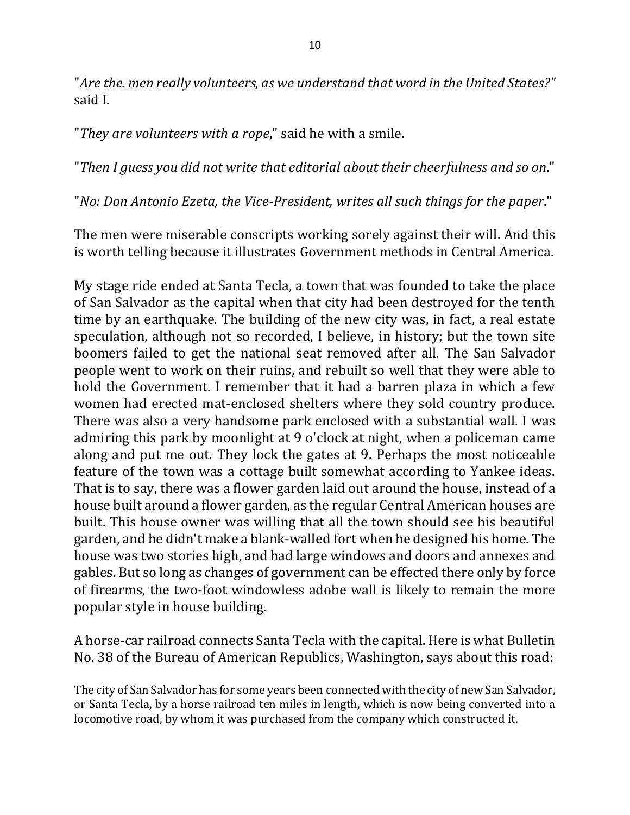"Are the. men really volunteers, as we understand that word in the United States?" said L

"They are volunteers with a rope," said he with a smile.

"Then I guess you did not write that editorial about their cheerfulness and so on."

"*No: Don Antonio Ezeta, the Vice-President, writes all such things for the paper*."

The men were miserable conscripts working sorely against their will. And this is worth telling because it illustrates Government methods in Central America.

My stage ride ended at Santa Tecla, a town that was founded to take the place of San Salvador as the capital when that city had been destroyed for the tenth time by an earthquake. The building of the new city was, in fact, a real estate speculation, although not so recorded, I believe, in history; but the town site boomers failed to get the national seat removed after all. The San Salvador people went to work on their ruins, and rebuilt so well that they were able to hold the Government. I remember that it had a barren plaza in which a few women had erected mat-enclosed shelters where they sold country produce. There was also a very handsome park enclosed with a substantial wall. I was admiring this park by moonlight at 9 o'clock at night, when a policeman came along and put me out. They lock the gates at 9. Perhaps the most noticeable feature of the town was a cottage built somewhat according to Yankee ideas. That is to say, there was a flower garden laid out around the house, instead of a house built around a flower garden, as the regular Central American houses are built. This house owner was willing that all the town should see his beautiful garden, and he didn't make a blank-walled fort when he designed his home. The house was two stories high, and had large windows and doors and annexes and gables. But so long as changes of government can be effected there only by force of firearms, the two-foot windowless adobe wall is likely to remain the more popular style in house building.

A horse-car railroad connects Santa Tecla with the capital. Here is what Bulletin No. 38 of the Bureau of American Republics, Washington, says about this road:

The city of San Salvador has for some years been connected with the city of new San Salvador, or Santa Tecla, by a horse railroad ten miles in length, which is now being converted into a locomotive road, by whom it was purchased from the company which constructed it.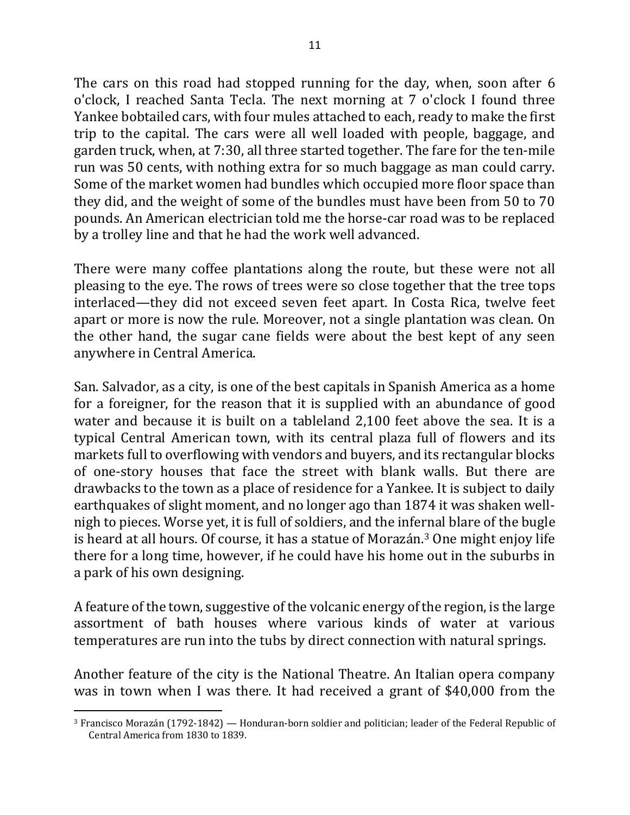The cars on this road had stopped running for the day, when, soon after  $6$ o'clock, I reached Santa Tecla. The next morning at 7 o'clock I found three Yankee bobtailed cars, with four mules attached to each, ready to make the first trip to the capital. The cars were all well loaded with people, baggage, and garden truck, when, at 7:30, all three started together. The fare for the ten-mile run was 50 cents, with nothing extra for so much baggage as man could carry. Some of the market women had bundles which occupied more floor space than they did, and the weight of some of the bundles must have been from 50 to 70 pounds. An American electrician told me the horse-car road was to be replaced by a trolley line and that he had the work well advanced.

There were many coffee plantations along the route, but these were not all pleasing to the eye. The rows of trees were so close together that the tree tops interlaced—they did not exceed seven feet apart. In Costa Rica, twelve feet apart or more is now the rule. Moreover, not a single plantation was clean. On the other hand, the sugar cane fields were about the best kept of any seen anywhere in Central America.

San. Salvador, as a city, is one of the best capitals in Spanish America as a home for a foreigner, for the reason that it is supplied with an abundance of good water and because it is built on a tableland 2,100 feet above the sea. It is a typical Central American town, with its central plaza full of flowers and its markets full to overflowing with vendors and buyers, and its rectangular blocks of one-story houses that face the street with blank walls. But there are drawbacks to the town as a place of residence for a Yankee. It is subject to daily earthquakes of slight moment, and no longer ago than 1874 it was shaken wellnigh to pieces. Worse yet, it is full of soldiers, and the infernal blare of the bugle is heard at all hours. Of course, it has a statue of Morazán.<sup>3</sup> One might enjoy life there for a long time, however, if he could have his home out in the suburbs in a park of his own designing.

A feature of the town, suggestive of the volcanic energy of the region, is the large assortment of bath houses where various kinds of water at various temperatures are run into the tubs by direct connection with natural springs.

Another feature of the city is the National Theatre. An Italian opera company was in town when I was there. It had received a grant of \$40,000 from the

 $\overline{a}$  $3$  Francisco Morazán (1792-1842) — Honduran-born soldier and politician; leader of the Federal Republic of Central America from 1830 to 1839.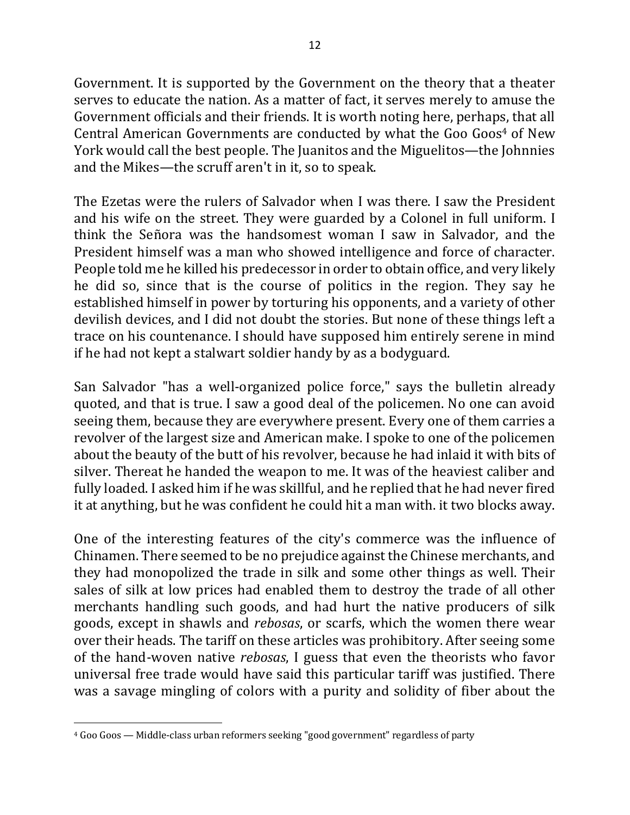Government. It is supported by the Government on the theory that a theater serves to educate the nation. As a matter of fact, it serves merely to amuse the Government officials and their friends. It is worth noting here, perhaps, that all Central American Governments are conducted by what the Goo Goos<sup>4</sup> of New York would call the best people. The Juanitos and the Miguelitos—the Johnnies and the Mikes—the scruff aren't in it, so to speak.

The Ezetas were the rulers of Salvador when I was there. I saw the President and his wife on the street. They were guarded by a Colonel in full uniform. I think the Señora was the handsomest woman I saw in Salvador, and the President himself was a man who showed intelligence and force of character. People told me he killed his predecessor in order to obtain office, and very likely he did so, since that is the course of politics in the region. They say he established himself in power by torturing his opponents, and a variety of other devilish devices, and I did not doubt the stories. But none of these things left a trace on his countenance. I should have supposed him entirely serene in mind if he had not kept a stalwart soldier handy by as a bodyguard.

San Salvador "has a well-organized police force," says the bulletin already quoted, and that is true. I saw a good deal of the policemen. No one can avoid seeing them, because they are everywhere present. Every one of them carries a revolver of the largest size and American make. I spoke to one of the policemen about the beauty of the butt of his revolver, because he had inlaid it with bits of silver. Thereat he handed the weapon to me. It was of the heaviest caliber and fully loaded. I asked him if he was skillful, and he replied that he had never fired it at anything, but he was confident he could hit a man with. it two blocks away.

One of the interesting features of the city's commerce was the influence of Chinamen. There seemed to be no prejudice against the Chinese merchants, and they had monopolized the trade in silk and some other things as well. Their sales of silk at low prices had enabled them to destroy the trade of all other merchants handling such goods, and had hurt the native producers of silk goods, except in shawls and *rebosas*, or scarfs, which the women there wear over their heads. The tariff on these articles was prohibitory. After seeing some of the hand-woven native *rebosas*, I guess that even the theorists who favor universal free trade would have said this particular tariff was justified. There was a savage mingling of colors with a purity and solidity of fiber about the

 $\overline{a}$ 

<sup>&</sup>lt;sup>4</sup> Goo Goos — Middle-class urban reformers seeking "good government" regardless of party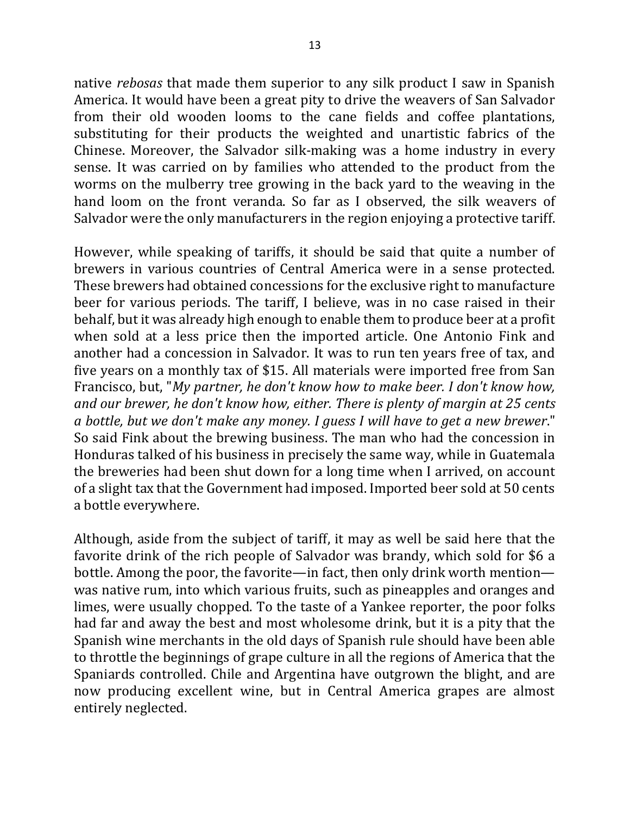native *rebosas* that made them superior to any silk product I saw in Spanish America. It would have been a great pity to drive the weavers of San Salvador from their old wooden looms to the cane fields and coffee plantations, substituting for their products the weighted and unartistic fabrics of the Chinese. Moreover, the Salvador silk-making was a home industry in every sense. It was carried on by families who attended to the product from the worms on the mulberry tree growing in the back yard to the weaving in the hand loom on the front veranda. So far as I observed, the silk weavers of Salvador were the only manufacturers in the region enjoying a protective tariff.

However, while speaking of tariffs, it should be said that quite a number of brewers in various countries of Central America were in a sense protected. These brewers had obtained concessions for the exclusive right to manufacture beer for various periods. The tariff, I believe, was in no case raised in their behalf, but it was already high enough to enable them to produce beer at a profit when sold at a less price then the imported article. One Antonio Fink and another had a concession in Salvador. It was to run ten years free of tax, and five years on a monthly tax of \$15. All materials were imported free from San Francisco, but, "*My partner, he don't know how to make beer. I don't know how,* and our brewer, he don't know how, either. There is plenty of margin at 25 cents *a* bottle, but we don't make any money. I guess I will have to get a new brewer." So said Fink about the brewing business. The man who had the concession in Honduras talked of his business in precisely the same way, while in Guatemala the breweries had been shut down for a long time when I arrived, on account of a slight tax that the Government had imposed. Imported beer sold at 50 cents a bottle everywhere.

Although, aside from the subject of tariff, it may as well be said here that the favorite drink of the rich people of Salvador was brandy, which sold for \$6 a bottle. Among the poor, the favorite—in fact, then only drink worth mention was native rum, into which various fruits, such as pineapples and oranges and limes, were usually chopped. To the taste of a Yankee reporter, the poor folks had far and away the best and most wholesome drink, but it is a pity that the Spanish wine merchants in the old days of Spanish rule should have been able to throttle the beginnings of grape culture in all the regions of America that the Spaniards controlled. Chile and Argentina have outgrown the blight, and are now producing excellent wine, but in Central America grapes are almost entirely neglected.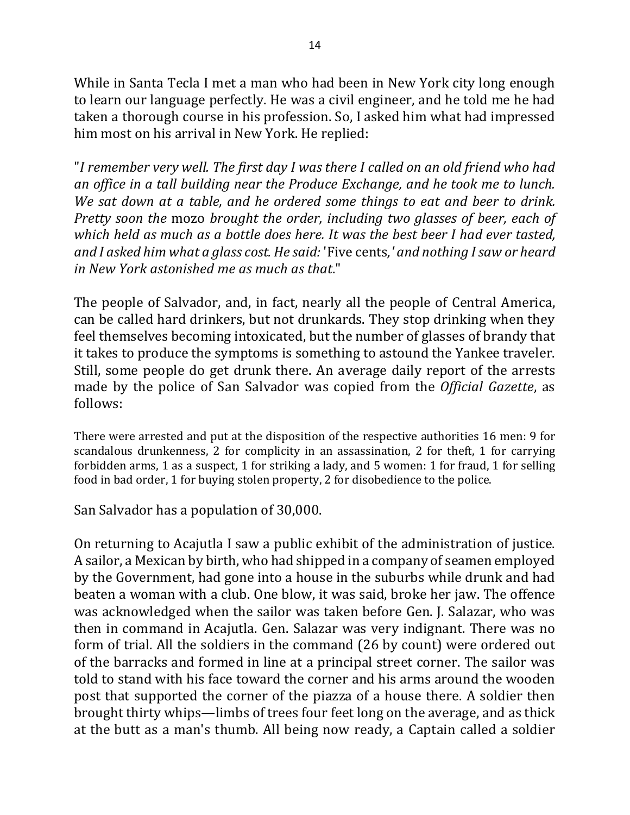While in Santa Tecla I met a man who had been in New York city long enough to learn our language perfectly. He was a civil engineer, and he told me he had taken a thorough course in his profession. So, I asked him what had impressed him most on his arrival in New York. He replied:

"I remember very well. The first day I was there I called on an old friend who had *an* office in a tall building near the Produce Exchange, and he took me to lunch. *We sat down at a table, and he ordered some things to eat and beer to drink. Pretty* soon the mozo *brought* the order, including two glasses of beer, each of *which held as much as a bottle does here. It was the best beer I had ever tasted,* and I asked him what a glass cost. He said: 'Five cents,' and nothing I saw or heard *in New York astonished me as much as that*."

The people of Salvador, and, in fact, nearly all the people of Central America, can be called hard drinkers, but not drunkards. They stop drinking when they feel themselves becoming intoxicated, but the number of glasses of brandy that it takes to produce the symptoms is something to astound the Yankee traveler. Still, some people do get drunk there. An average daily report of the arrests made by the police of San Salvador was copied from the *Official Gazette*, as follows:

There were arrested and put at the disposition of the respective authorities 16 men: 9 for scandalous drunkenness, 2 for complicity in an assassination, 2 for theft, 1 for carrying forbidden arms, 1 as a suspect, 1 for striking a lady, and 5 women: 1 for fraud, 1 for selling food in bad order, 1 for buying stolen property, 2 for disobedience to the police.

San Salvador has a population of 30,000.

On returning to Acajutla I saw a public exhibit of the administration of justice. A sailor, a Mexican by birth, who had shipped in a company of seamen employed by the Government, had gone into a house in the suburbs while drunk and had beaten a woman with a club. One blow, it was said, broke her jaw. The offence was acknowledged when the sailor was taken before Gen. J. Salazar, who was then in command in Acajutla. Gen. Salazar was very indignant. There was no form of trial. All the soldiers in the command (26 by count) were ordered out of the barracks and formed in line at a principal street corner. The sailor was told to stand with his face toward the corner and his arms around the wooden post that supported the corner of the piazza of a house there. A soldier then brought thirty whips—limbs of trees four feet long on the average, and as thick at the butt as a man's thumb. All being now ready, a Captain called a soldier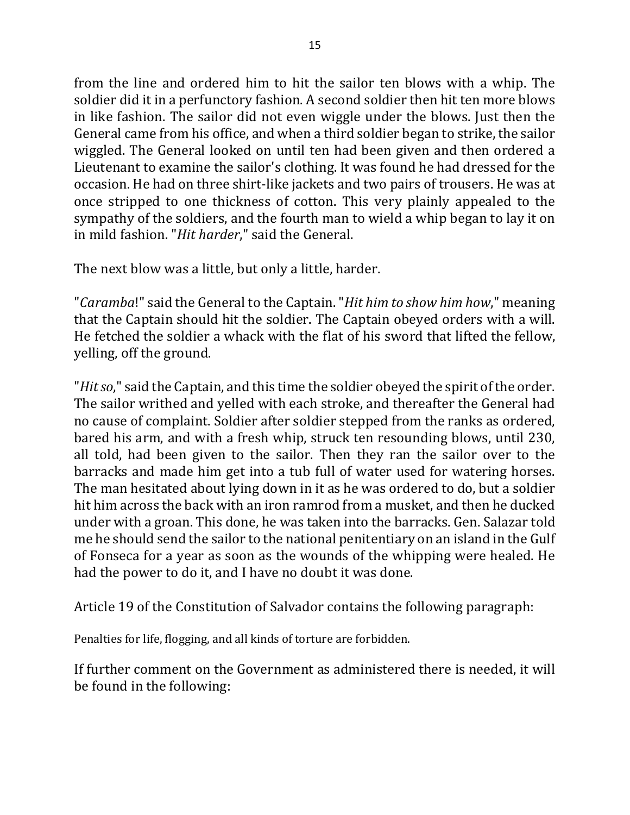from the line and ordered him to hit the sailor ten blows with a whip. The soldier did it in a perfunctory fashion. A second soldier then hit ten more blows in like fashion. The sailor did not even wiggle under the blows. Just then the General came from his office, and when a third soldier began to strike, the sailor wiggled. The General looked on until ten had been given and then ordered a Lieutenant to examine the sailor's clothing. It was found he had dressed for the occasion. He had on three shirt-like jackets and two pairs of trousers. He was at once stripped to one thickness of cotton. This very plainly appealed to the sympathy of the soldiers, and the fourth man to wield a whip began to lay it on in mild fashion. "*Hit harder*," said the General.

The next blow was a little, but only a little, harder.

"*Caramba*!" said the General to the Captain. "*Hit him to show him how*," meaning that the Captain should hit the soldier. The Captain obeyed orders with a will. He fetched the soldier a whack with the flat of his sword that lifted the fellow, yelling, off the ground.

"*Hit* so," said the Captain, and this time the soldier obeyed the spirit of the order. The sailor writhed and yelled with each stroke, and thereafter the General had no cause of complaint. Soldier after soldier stepped from the ranks as ordered, bared his arm, and with a fresh whip, struck ten resounding blows, until 230, all told, had been given to the sailor. Then they ran the sailor over to the barracks and made him get into a tub full of water used for watering horses. The man hesitated about lying down in it as he was ordered to do, but a soldier hit him across the back with an iron ramrod from a musket, and then he ducked under with a groan. This done, he was taken into the barracks. Gen. Salazar told me he should send the sailor to the national penitentiary on an island in the Gulf of Fonseca for a year as soon as the wounds of the whipping were healed. He had the power to do it, and I have no doubt it was done.

Article 19 of the Constitution of Salvador contains the following paragraph:

Penalties for life, flogging, and all kinds of torture are forbidden.

If further comment on the Government as administered there is needed, it will be found in the following: